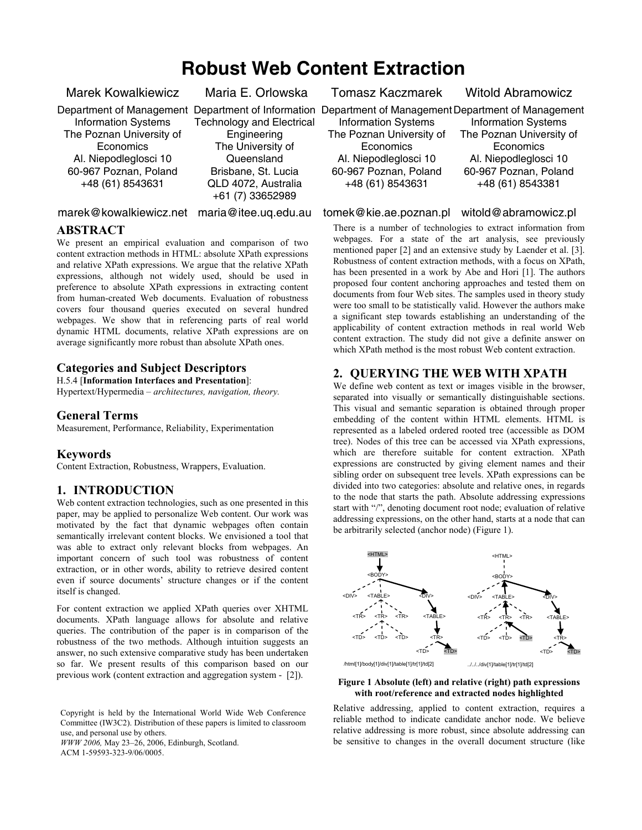# **Robust Web Content Extraction**

Marek Kowalkiewicz

Information Systems The Poznan University of **Economics** Al. Niepodleglosci 10 60-967 Poznan, Poland +48 (61) 8543631

Maria E. Orlowska

Technology and Electrical **Engineering** The University of

**Queensland** Brisbane, St. Lucia QLD 4072, Australia +61 (7) 33652989

## marek@kowalkiewicz.net maria@itee.uq.edu.au

## **ABSTRACT**

We present an empirical evaluation and comparison of two content extraction methods in HTML: absolute XPath expressions and relative XPath expressions. We argue that the relative XPath expressions, although not widely used, should be used in preference to absolute XPath expressions in extracting content from human-created Web documents. Evaluation of robustness covers four thousand queries executed on several hundred webpages. We show that in referencing parts of real world dynamic HTML documents, relative XPath expressions are on average significantly more robust than absolute XPath ones.

# **Categories and Subject Descriptors**

H.5.4 [**Information Interfaces and Presentation**]:

Hypertext/Hypermedia *– architectures, navigation, theory.*

### **General Terms**

Measurement, Performance, Reliability, Experimentation

### **Keywords**

Content Extraction, Robustness, Wrappers, Evaluation.

# **1. INTRODUCTION**

Web content extraction technologies, such as one presented in this paper, may be applied to personalize Web content. Our work was motivated by the fact that dynamic webpages often contain semantically irrelevant content blocks. We envisioned a tool that was able to extract only relevant blocks from webpages. An important concern of such tool was robustness of content extraction, or in other words, ability to retrieve desired content even if source documents' structure changes or if the content itself is changed.

For content extraction we applied XPath queries over XHTML documents. XPath language allows for absolute and relative queries. The contribution of the paper is in comparison of the robustness of the two methods. Although intuition suggests an answer, no such extensive comparative study has been undertaken so far. We present results of this comparison based on our previous work (content extraction and aggregation system - [2]).

Copyright is held by the International World Wide Web Conference Committee (IW3C2). Distribution of these papers is limited to classroom use, and personal use by others.

*WWW 2006,* May 23–26, 2006, Edinburgh, Scotland.

ACM 1-59593-323-9/06/0005.

Tomasz Kaczmarek

Witold Abramowicz

Department of Management Department of Information Department of Management Department of Management

Information Systems The Poznan University of **Economics** Al. Niepodleglosci 10 60-967 Poznan, Poland +48 (61) 8543631

Information Systems The Poznan University of **Economics** Al. Niepodleglosci 10 60-967 Poznan, Poland +48 (61) 8543381

### tomek@kie.ae.poznan.pl witold@abramowicz.pl

There is a number of technologies to extract information from webpages. For a state of the art analysis, see previously mentioned paper [2] and an extensive study by Laender et al. [3]. Robustness of content extraction methods, with a focus on XPath, has been presented in a work by Abe and Hori [1]. The authors proposed four content anchoring approaches and tested them on documents from four Web sites. The samples used in theory study were too small to be statistically valid. However the authors make a significant step towards establishing an understanding of the applicability of content extraction methods in real world Web content extraction. The study did not give a definite answer on which XPath method is the most robust Web content extraction.

# **2. QUERYING THE WEB WITH XPATH**

We define web content as text or images visible in the browser, separated into visually or semantically distinguishable sections. This visual and semantic separation is obtained through proper embedding of the content within HTML elements. HTML is represented as a labeled ordered rooted tree (accessible as DOM tree). Nodes of this tree can be accessed via XPath expressions, which are therefore suitable for content extraction. XPath expressions are constructed by giving element names and their sibling order on subsequent tree levels. XPath expressions can be divided into two categories: absolute and relative ones, in regards to the node that starts the path. Absolute addressing expressions start with "/", denoting document root node; evaluation of relative addressing expressions, on the other hand, starts at a node that can be arbitrarily selected (anchor node) (Figure 1).



#### **Figure 1 Absolute (left) and relative (right) path expressions with root/reference and extracted nodes highlighted**

Relative addressing, applied to content extraction, requires a reliable method to indicate candidate anchor node. We believe relative addressing is more robust, since absolute addressing can be sensitive to changes in the overall document structure (like